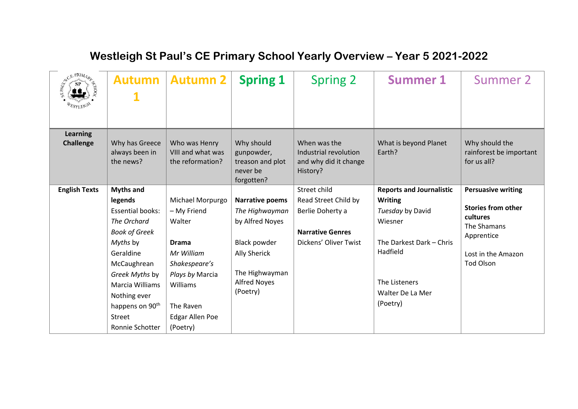## **Autumn 1 Autumn 2** Spring 1 | Spring 2 | Summer 1 | Summer 2 **Learning Challenge** Why has Greece always been in the news? Who was Henry VIII and what was the reformation? Why should gunpowder, treason and plot never be forgotten? When was the Industrial revolution and why did it change History? What is beyond Planet Earth? Why should the rainforest be important for us all? **English Texts Myths and legends** Essential books: *The Orchard Book of Greek Myths* by Geraldine McCaughrean *Greek Myths* by Marcia Williams Nothing ever happens on 90<sup>th</sup> Street Ronnie Schotter Michael Morpurgo – My Friend Walter **Drama** *Mr William Shakespeare's Plays by* Marcia Williams The Raven Edgar Allen Poe (Poetry) **Narrative poems** *The Highwayman* by Alfred Noyes Black powder Ally Sherick The Highwayman Alfred Noyes (Poetry) Street child Read Street Child by Berlie Doherty a **Narrative Genres** Dickens' Oliver Twist **Reports and Journalistic Writing** *Tuesday* by David Wiesner The Darkest Dark – Chris Hadfield The Listeners Walter De La Mer (Poetry) **Persuasive writing Stories from other cultures** The Shamans Apprentice Lost in the Amazon Tod Olson

## **Westleigh St Paul's CE Primary School Yearly Overview – Year 5 2021-2022**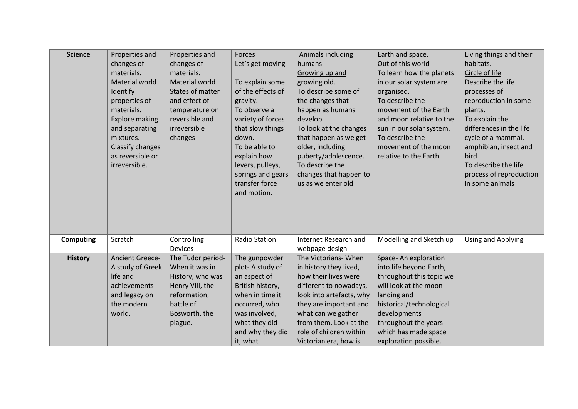| <b>Science</b>   | Properties and         | Properties and    | Forces               | Animals including        | Earth and space.         | Living things and their |
|------------------|------------------------|-------------------|----------------------|--------------------------|--------------------------|-------------------------|
|                  | changes of             | changes of        | Let's get moving     | humans                   | Out of this world        | habitats.               |
|                  | materials.             | materials.        |                      | Growing up and           | To learn how the planets | Circle of life          |
|                  | Material world         | Material world    | To explain some      | growing old.             | in our solar system are  | Describe the life       |
|                  | Identify               | States of matter  | of the effects of    | To describe some of      | organised.               | processes of            |
|                  | properties of          | and effect of     | gravity.             | the changes that         | To describe the          | reproduction in some    |
|                  | materials.             | temperature on    | To observe a         | happen as humans         | movement of the Earth    | plants.                 |
|                  | <b>Explore making</b>  | reversible and    | variety of forces    | develop.                 | and moon relative to the | To explain the          |
|                  | and separating         | irreversible      | that slow things     | To look at the changes   | sun in our solar system. | differences in the life |
|                  | mixtures.              | changes           | down.                | that happen as we get    | To describe the          | cycle of a mammal,      |
|                  | Classify changes       |                   | To be able to        | older, including         | movement of the moon     | amphibian, insect and   |
|                  | as reversible or       |                   | explain how          | puberty/adolescence.     | relative to the Earth.   | bird.                   |
|                  | irreversible.          |                   | levers, pulleys,     | To describe the          |                          | To describe the life    |
|                  |                        |                   | springs and gears    | changes that happen to   |                          | process of reproduction |
|                  |                        |                   | transfer force       | us as we enter old       |                          | in some animals         |
|                  |                        |                   | and motion.          |                          |                          |                         |
|                  |                        |                   |                      |                          |                          |                         |
|                  |                        |                   |                      |                          |                          |                         |
|                  |                        |                   |                      |                          |                          |                         |
|                  |                        |                   |                      |                          |                          |                         |
| <b>Computing</b> | Scratch                | Controlling       | <b>Radio Station</b> | Internet Research and    | Modelling and Sketch up  | Using and Applying      |
|                  |                        | <b>Devices</b>    |                      | webpage design           |                          |                         |
| <b>History</b>   | <b>Ancient Greece-</b> | The Tudor period- | The gunpowder        | The Victorians-When      | Space-An exploration     |                         |
|                  | A study of Greek       | When it was in    | plot-A study of      | in history they lived,   | into life beyond Earth,  |                         |
|                  | life and               | History, who was  | an aspect of         | how their lives were     | throughout this topic we |                         |
|                  | achievements           | Henry VIII, the   | British history,     | different to nowadays,   | will look at the moon    |                         |
|                  | and legacy on          | reformation,      | when in time it      | look into artefacts, why | landing and              |                         |
|                  | the modern             | battle of         | occurred, who        | they are important and   | historical/technological |                         |
|                  | world.                 | Bosworth, the     | was involved,        | what can we gather       | developments             |                         |
|                  |                        | plague.           | what they did        | from them. Look at the   | throughout the years     |                         |
|                  |                        |                   | and why they did     | role of children within  | which has made space     |                         |
|                  |                        |                   | it, what             | Victorian era, how is    | exploration possible.    |                         |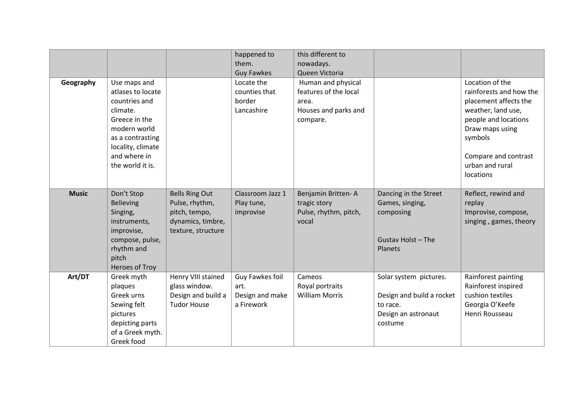|              |                                                                                                                                                                              |                                                                                                     | happened to<br>them.<br><b>Guy Fawkes</b>                | this different to<br>nowadays.<br>Queen Victoria                                         |                                                                                                   |                                                                                                                                                                                                         |
|--------------|------------------------------------------------------------------------------------------------------------------------------------------------------------------------------|-----------------------------------------------------------------------------------------------------|----------------------------------------------------------|------------------------------------------------------------------------------------------|---------------------------------------------------------------------------------------------------|---------------------------------------------------------------------------------------------------------------------------------------------------------------------------------------------------------|
| Geography    | Use maps and<br>atlases to locate<br>countries and<br>climate.<br>Greece in the<br>modern world<br>as a contrasting<br>locality, climate<br>and where in<br>the world it is. |                                                                                                     | Locate the<br>counties that<br>border<br>Lancashire      | Human and physical<br>features of the local<br>area.<br>Houses and parks and<br>compare. |                                                                                                   | Location of the<br>rainforests and how the<br>placement affects the<br>weather, land use,<br>people and locations<br>Draw maps using<br>symbols<br>Compare and contrast<br>urban and rural<br>locations |
| <b>Music</b> | Don't Stop<br><b>Believing</b><br>Singing,<br>instruments,<br>improvise,<br>compose, pulse,<br>rhythm and<br>pitch<br>Heroes of Troy                                         | <b>Bells Ring Out</b><br>Pulse, rhythm,<br>pitch, tempo,<br>dynamics, timbre,<br>texture, structure | Classroom Jazz 1<br>Play tune,<br>improvise              | Benjamin Britten-A<br>tragic story<br>Pulse, rhythm, pitch,<br>vocal                     | Dancing in the Street<br>Games, singing,<br>composing<br>Gustav Holst - The<br>Planets            | Reflect, rewind and<br>replay<br>Improvise, compose,<br>singing, games, theory                                                                                                                          |
| Art/DT       | Greek myth<br>plaques<br>Greek urns<br>Sewing felt<br>pictures<br>depicting parts<br>of a Greek myth.<br>Greek food                                                          | Henry VIII stained<br>glass window.<br>Design and build a<br><b>Tudor House</b>                     | Guy Fawkes foil<br>art.<br>Design and make<br>a Firework | Cameos<br>Royal portraits<br><b>William Morris</b>                                       | Solar system pictures.<br>Design and build a rocket<br>to race.<br>Design an astronaut<br>costume | Rainforest painting<br>Rainforest inspired<br>cushion textiles<br>Georgia O'Keefe<br>Henri Rousseau                                                                                                     |